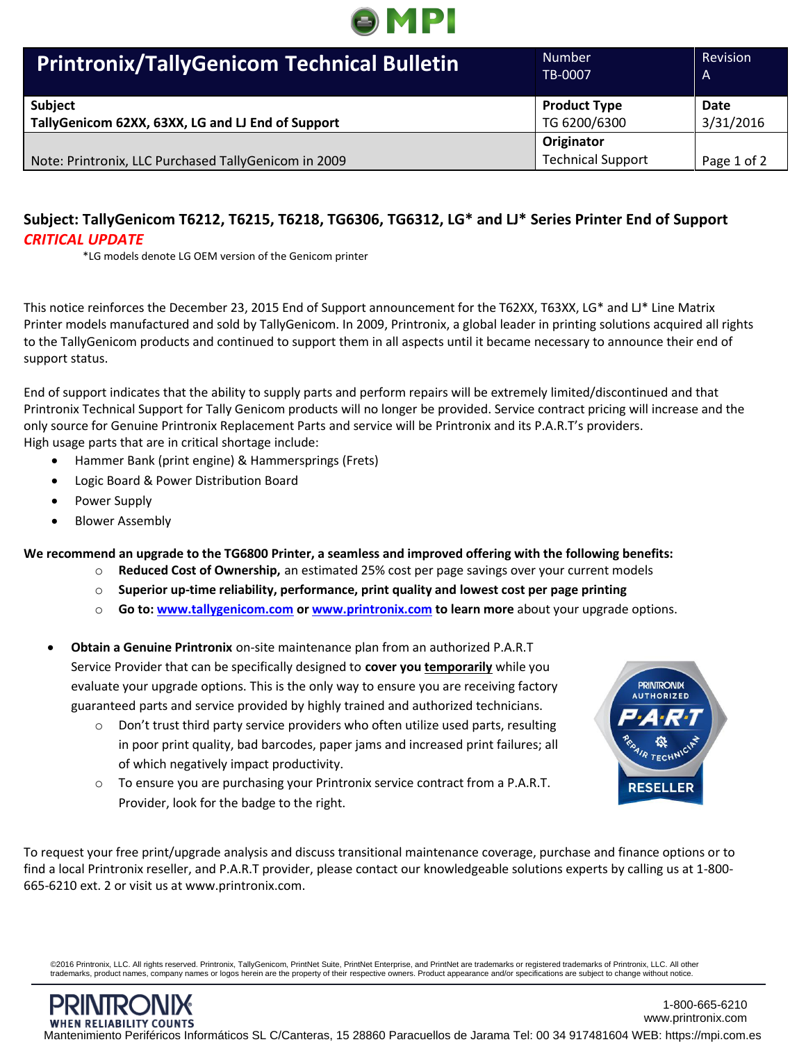

| <b>Printronix/TallyGenicom Technical Bulletin</b>                   | <b>Number</b><br>TB-0007            | Revision<br>A     |
|---------------------------------------------------------------------|-------------------------------------|-------------------|
| <b>Subject</b><br>TallyGenicom 62XX, 63XX, LG and LJ End of Support | <b>Product Type</b><br>TG 6200/6300 | Date<br>3/31/2016 |
|                                                                     | Originator                          |                   |
| Note: Printronix, LLC Purchased TallyGenicom in 2009                | <b>Technical Support</b>            | Page 1 of 2       |

# **Subject: TallyGenicom T6212, T6215, T6218, TG6306, TG6312, LG\* and LJ\* Series Printer End of Support** *CRITICAL UPDATE*

\*LG models denote LG OEM version of the Genicom printer

This notice reinforces the December 23, 2015 End of Support announcement for the T62XX, T63XX, LG\* and LJ\* Line Matrix Printer models manufactured and sold by TallyGenicom. In 2009, Printronix, a global leader in printing solutions acquired all rights to the TallyGenicom products and continued to support them in all aspects until it became necessary to announce their end of support status.

End of support indicates that the ability to supply parts and perform repairs will be extremely limited/discontinued and that Printronix Technical Support for Tally Genicom products will no longer be provided. Service contract pricing will increase and the only source for Genuine Printronix Replacement Parts and service will be Printronix and its P.A.R.T's providers. High usage parts that are in critical shortage include:

- Hammer Bank (print engine) & Hammersprings (Frets)
- Logic Board & Power Distribution Board
- Power Supply
- Blower Assembly

### **We recommend an upgrade to the TG6800 Printer, a seamless and improved offering with the following benefits:**

- o **Reduced Cost of Ownership,** an estimated 25% cost per page savings over your current models
- o **Superior up-time reliability, performance, print quality and lowest cost per page printing**
- o **Go to[: www.tallygenicom.com](http://www.tallygenicom.com/) or [www.printronix.com](http://www.printronix.com/) to learn more** about your upgrade options.
- **Obtain a Genuine Printronix** on-site maintenance plan from an authorized P.A.R.T Service Provider that can be specifically designed to **cover you temporarily** while you evaluate your upgrade options. This is the only way to ensure you are receiving factory guaranteed parts and service provided by highly trained and authorized technicians.
	- $\circ$  Don't trust third party service providers who often utilize used parts, resulting in poor print quality, bad barcodes, paper jams and increased print failures; all of which negatively impact productivity.
	- o To ensure you are purchasing your Printronix service contract from a P.A.R.T. Provider, look for the badge to the right.



To request your free print/upgrade analysis and discuss transitional maintenance coverage, purchase and finance options or to find a local Printronix reseller, and P.A.R.T provider, please contact our knowledgeable solutions experts by calling us at 1-800- 665-6210 ext. 2 or visit us at [www.printronix.com.](http://www.printronix.com/)

©2016 Printronix, LLC. All rights reserved. Printronix, TallyGenicom, PrintNet Suite, PrintNet Enterprise, and PrintNet are trademarks or registered trademarks of Printronix, LLC. All other<br>trademarks, product names, compa

1-800-665-6210 www.printronix.com [Mantenimiento Periféricos Informáticos SL C/Canteras, 15 28860 Paracuellos de Jarama Tel: 00 34 917481604 WEB: https://mpi.com.es](https://mpi.com.es/)